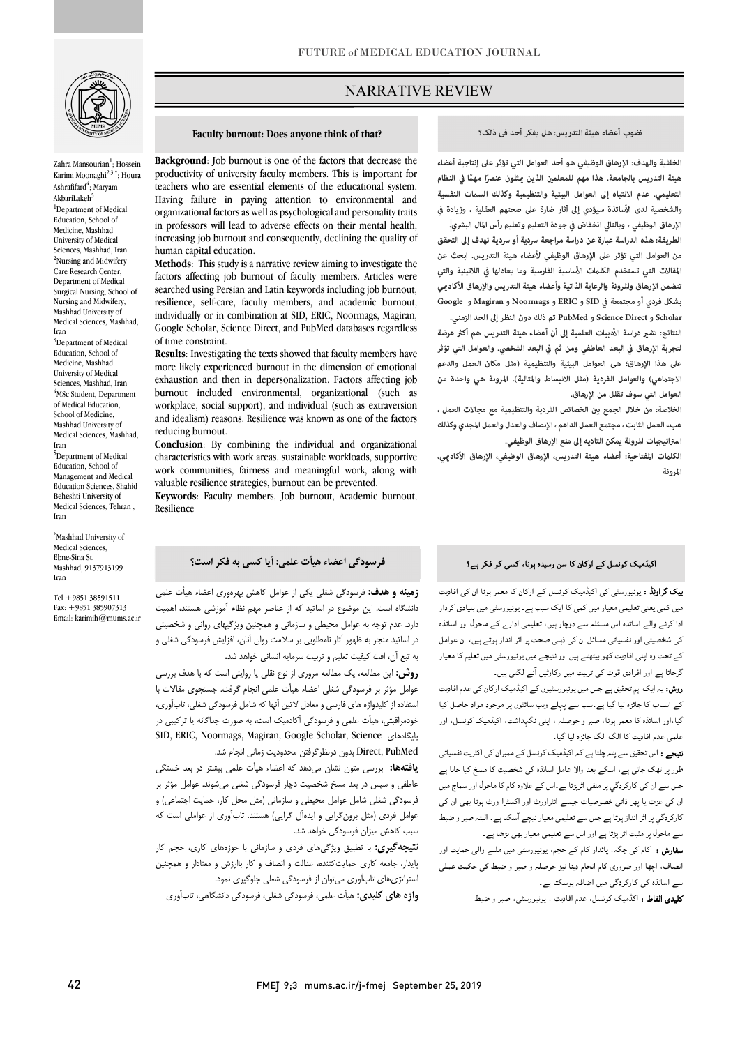

Zahra Mansourian<sup>1</sup>; Hossein Karimi Moonaghi<sup>2,3,\*</sup>; Houra Ashrafifard<sup>4</sup>; Maryam AkbariLakeh<sup>5</sup> <sup>1</sup>Department of Medical Education, School of Medicine, Mashhad University of Medical Sciences, Mashhad, Iran <sup>2</sup>Nursing and Midwifery Care Research Center, Department of Medical Surgical Nursing, School of Nursing and Midwifery, Mashhad University of Medical Sciences, Mashhad, Iran <sup>3</sup>Department of Medical Education, School of Medicine, Mashhad University of Medical Sciences, Mashhad, Iran <sup>4</sup>MSc Student, Department of Medical Education, School of Medicine, Mashhad University of Medical Sciences, Mashhad, Iran 5 Department of Medical Education, School of Management and Medical Education Sciences, Shahid Beheshti University of Medical Sciences, Tehran , Iran

\* Mashhad University of Medical Sciences, Ebne-Sina St. Mashhad, 9137913199 Iran

Tel +9851 38591511 Fax: +9851 385907313 Email: karimih@mums.ac.ir

## NARRATIVE REVIEW

#### **Faculty burnout: Does anyone think of that?**

Ī

 productivity of university faculty members. This is important for teachers who are essential elements of the educational system. Having failure in paying attention to environmental and in professors will lead to adverse effects on their mental health, increasing job burnout and consequently, declining the quality of **Background**: Job burnout is one of the factors that decrease the organizational factors as well as psychological and personality traits human capital education.

 **Methods**: This study is a narrative review aiming to investigate the factors affecting job burnout of faculty members. Articles were searched using Persian and Latin keywords including job burnout, individually or in combination at SID, ERIC, Noormags, Magiran, Google Scholar, Science Direct, and PubMed databases regardless resilience, self-care, faculty members, and academic burnout, of time constraint.

 **Results**: Investigating the texts showed that faculty members have more likely experienced burnout in the dimension of emotional exhaustion and then in depersonalization. Factors affecting job workplace, social support), and individual (such as extraversion and idealism) reasons. Resilience was known as one of the factors burnout included environmental, organizational (such as reducing burnout.

 **Conclusion**: By combining the individual and organizational characteristics with work areas, sustainable workloads, supportive work communities, fairness and meaningful work, along with valuable resilience strategies, burnout can be prevented.

 **Keywords**: Faculty members, Job burnout, Academic burnout, Resilience

#### **فرسودگی اعضاء هیأت علمی: آیا کسی به فکر است؟**

 **زمینه و هدف:** فرسودگی شغلی یکی از عوامل کاهش بهرهوري اعضاء هیأت علمی دست دارد. عدم توسی توجه در سازمان محرم بهم توانیس مستند معهد.<br>دارد. عدم توجه به عوامل محیطی و سازمانی و همچنین ویژگیهای روانی و شخصیتی در اساتید منجر به ظهور آثار نامطلوبی بر سلامت روان آنان، افزایش فرسودگی شغلی و به تبع آن، افت کیفیت تعلیم و تربیت سرمایه انسانی خواهد شد**.** دانشگاه است. این موضوع در اساتید که از عناصر مهم نظام آموزشی هستند، اهمیت

 **روش:** این مطالعه، یک مطالعه مروري از نوع نقلی یا روایتی است که با هدف بررسی عوامل مؤثر بر فرسودگی شغلی اعضاء هیأت علمی انجام گرفت. جستجوي مقالات با استفاده از کلیدواژه هاي فارسی و معادل لاتین آنها که شامل فرسودگی شغلی، تابآوري، خودمراقبتی، هیأت علمی و فرسودگی آکادمیک است، به صورت جداگانه یا ترکیبی در SID, ERIC, Noormags, Magiran, Google Scholar, Science پایگاههاي PubMed ,Direct بدون درنظرگرفتن محدودیت زمانی انجام شد.

 **یافتهها:** بررسی متون نشان میدهد که اعضاء هیأت علمی بیشتر در بعد خستگی عاطفی و سپس در بعد مسخ شخصیت دچار فرسودگی شغلی میشوند. عوامل مؤثر بر فرسودگی شغلی شامل عوامل محیطی و سازمانی (مثل محل کار، حمایت اجتماعی) و عوامل فردي (مثل برونگرایی و ایدهآل گرایی) هستند. تابآوري از عواملی است که سبب کاهش میزان فرسودگی خواهد شد.

 **نتیجهگیري:** با تطبیق ویژگیهاي فردي و سازمانی با حوزههاي کاري، حجم کار پایدار، جامعه کاري حمایتکننده، عدالت و انصاف و کار باارزش و معنادار و همچنین استراتژيهاي تابآوري میتوان از فرسودگی شغلی جلوگیري نمود.

**واژه هاي کلیدي:** هیأت علمی، فرسودگی شغلی، فرسودگی دانشگاهی، تابآوري

#### **نضوب أعضاء هيئة التدريس: هل يفكر أحدفی ذلک؟**

ص

 **الخلفية والهدف: الإرهاق الوظيفي هو أحد العوامل التي تؤثر على إنتاجية أعضاء التعليمي. عدم الانتباه إلى العوامل البيئية والتنظيمية وكذلك الست النفسية والشخصية لدى الأساتذة سيؤدي إلى آثار ضارة على صحتهم العقلية ، وزيادة في هيئة التدريس بالجامعة. ً هذا مهم للمعلم الذين ثلون عنصر ً ا مه في النظام** 

 **الإرهاق الوظيفي ، وبالتالي انخفاض في جودة التعليم وتعليم رأس المال البشري. الطريقة: هذه الدراسة عبارة عن دراسة مراجعة سردية أو سردية تهدف إلى التحقق من العوامل التي تؤثر على الإرهاق الوظيفي لأعضاء هيئة التدريس. ابحث عن المقالات التي تستخدم الكلت الأساسية الفارسية وما يعادلها في اللاتينية والتي تتضمن الإرهاق والمرونة والرعاية الذاتية وأعضاء هيئة التدريس والإرهاق الأكادي Scholarو Direct Scienceو PubMed تم ذلك دون النظر إلى الحد الزمني.** النتائج: تشير دراسة الأدبيات العلمية إلى أن أعضاء هيئة التدريس هم أكثر عرضة **بشكل فردي أو مجتمعة في SID و ERIC و Noormags و Magiran و Google**

 **لتجربة الإرهاق في البعد العاطفي ومن ثم في البعد الشخصي. و العوامل التي تؤثر على هذا الإرهاق؛ هی العوامل البيئية والتنظيمية (مثل مكان العمل والدعم الاجتعي) والعوامل الفردية (مثل الانبساط والمثالية). المرونة هي واحدة من العوامل التي سوف تقلل من الإرهاق.**

التوامن *الت*ي سوت تسن من ال<sub>ت</sub>رتيات.<br>الخلاصة: من خلال الجمع بين الخصائص الفردية والتنظيمية مع مجالات العمل ، **عبء العمل الثابت، مجتمع العمل الداعم ، الإنصاف والعدل والعمل المجدي وكذلك استراتيجيات المرونة یمکن التادیه إلى منع الإرهاق الوظيفي.** 

 **الكلت المفتاحية: أعضاء هيئة التدريس، الإرهاق الوظيفي، الإرهاق الأكادي، المرونة**

### اکیڈمیک کونسل کے ارکان کا سن رسیدہ ہونا، کسی کو فکر ہے؟

Ĩ ادا وا اہ اس دور ، ادارے ل اور اہ ۔<br>کی شخصیتی اور نفسیاتی مسائل ان کی ذہنی صحت پر اثر انداز ہوتے ہیں، ان عوامل کے تحت وہ اپنی افادیت کھو بیٹھتے ہیں اور نتیجے میں یونیورسٹی میں تعلیم کا معیار گرجاتا ہے اور افرادی قوت کی تربیت میں رکاوٹیں آنے لگتی ہیں۔ **ییک گراونڈ :** یونیورسٹی کی اکیڈمیک کونسل کے ارکان کا معمر ہونا ان کی افادیت میں کمی یعنی تعلیمی معیار میں کمی کا ایک سبب ہے۔ یونیورسٹی میں بنیادی کردار

ر**وش:** یہ ایک اہم تحقیق ہے جس میں یونیورسٹیوں کے اکیڈمیک ارکان کی عدم افادیت کے اسباب کا جائزہ لیا گیا ہے۔سب سے پہلے ویب سائٹوں پر موجود مواد حاصل کیا گیا،اور اساتذہ کا معمر ہونا، صبر و حوصلہ ، اپنی نگہداشت، اکیڈمیک کونسل، اور علمی عدم افادیت کا الگ الگ جائزہ لیا گیا۔

**تیجے :** اس تحقیق سے پتہ چلتا ہے کہ اکیڈمیک کونسل کے ممبران کی اکثریت نفسیاتی<br>۔ ۔ رد پر ہیں کہ سے کا سے بار کو اس میں ہے۔<br>جس سے ان کی کارکردگی پر منفی اثرپڑتا ہے ۔اس کے علاوہ کام کا ماحول اور سماج میں ان ت ذا ت ااورٹ اور اا ورٹ ان ۔<br>کارکردگي پر اثر انداز ہوتا ہے جس سے تعليمي معيار نيچے آسکتا ہے۔ البتہ صبر و ضبط سے ماحول پر مثبت اثر پڑتا ہے اور اس سے تعلیمی معیار بھی بڑھتا ہے۔ طور پر تھک جاتی ہے، اسکے بعد والا عامل اساتذہ کی شخصیت کا مسخ کیا جانا ہے

**سفارش :** کام کی جگہ، پائدار کام کے حجم، یونیورسٹی میں ملنے والی حمایت اور انصاف، اچها اور ضروری کام انجام دینا نیز حوصلہ و صبر و ضبط کی حکمت عملی سے اساتذہ کی کارکردگی میں اضافہ ہوسکتا ہے۔

**کلیدی الفاظ :** اکڈمیک کونسل، عدم افادیت ، یونیورسٹی، صبر و ضبط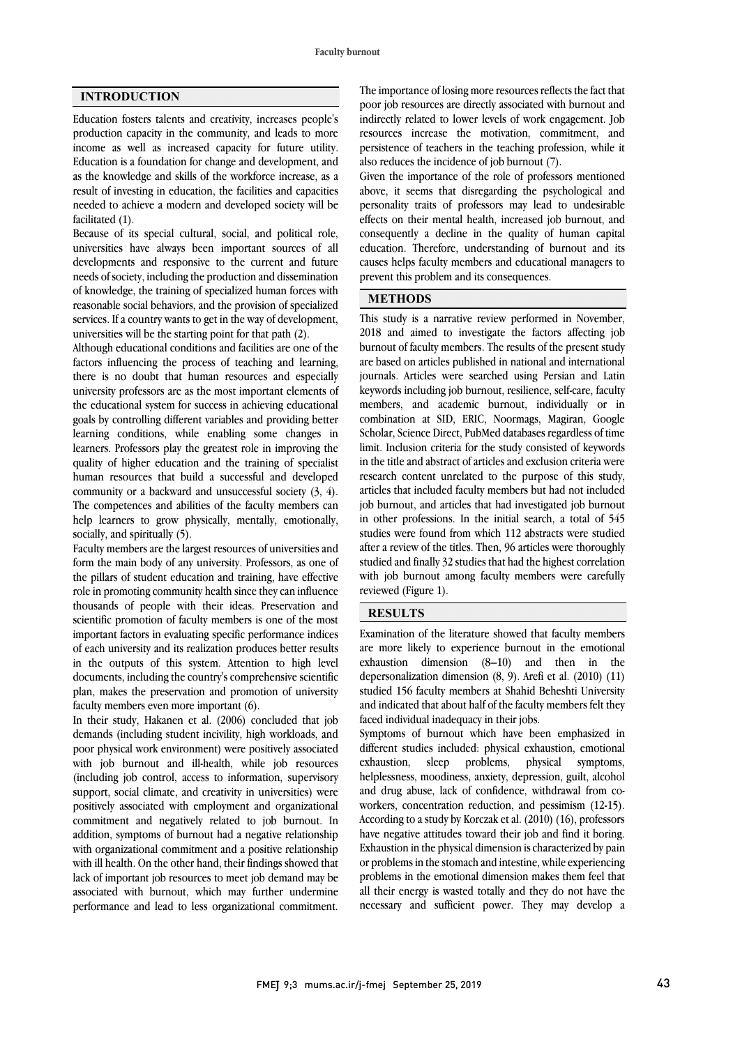## **INTRODUCTION**

Education fosters talents and creativity, increases people's production capacity in the community, and leads to more income as well as increased capacity for future utility. Education is a foundation for change and development, and as the knowledge and skills of the workforce increase, as a result of investing in education, the facilities and capacities needed to achieve a modern and developed society will be facilitated (1).

Because of its special cultural, social, and political role, universities have always been important sources of all developments and responsive to the current and future needs of society, including the production and dissemination of knowledge, the training of specialized human forces with reasonable social behaviors, and the provision of specialized services. If a country wants to get in the way of development, universities will be the starting point for that path (2).

Although educational conditions and facilities are one of the factors influencing the process of teaching and learning, there is no doubt that human resources and especially university professors are as the most important elements of the educational system for success in achieving educational goals by controlling different variables and providing better learning conditions, while enabling some changes in learners. Professors play the greatest role in improving the quality of higher education and the training of specialist human resources that build a successful and developed community or a backward and unsuccessful society (3, 4). The competences and abilities of the faculty members can help learners to grow physically, mentally, emotionally, socially, and spiritually (5).

Faculty members are the largest resources of universities and form the main body of any university. Professors, as one of the pillars of student education and training, have effective role in promoting community health since they can influence thousands of people with their ideas. Preservation and scientific promotion of faculty members is one of the most important factors in evaluating specific performance indices of each university and its realization produces better results in the outputs of this system. Attention to high level documents, including the country's comprehensive scientific plan, makes the preservation and promotion of university faculty members even more important (6).

In their study, Hakanen et al. (2006) concluded that job demands (including student incivility, high workloads, and poor physical work environment) were positively associated with job burnout and ill-health, while job resources (including job control, access to information, supervisory support, social climate, and creativity in universities) were positively associated with employment and organizational commitment and negatively related to job burnout. In addition, symptoms of burnout had a negative relationship with organizational commitment and a positive relationship with ill health. On the other hand, their findings showed that lack of important job resources to meet job demand may be associated with burnout, which may further undermine performance and lead to less organizational commitment.

 poor job resources are directly associated with burnout and indirectly related to lower levels of work engagement. Job resources increase the motivation, commitment, and persistence of teachers in the teaching profession, while it also reduces the incidence of job burnout (7). The importance of losing more resources reflects the fact that

 above, it seems that disregarding the psychological and personality traits of professors may lead to undesirable effects on their mental health, increased job burnout, and education. Therefore, understanding of burnout and its causes helps faculty members and educational managers to prevent this problem and its consequences. Given the importance of the role of professors mentioned consequently a decline in the quality of human capital

# **METHODS**

 This study is a narrative review performed in November, 2018 and aimed to investigate the factors affecting job burnout of faculty members. The results of the present study are based on articles published in national and international keywords including job burnout, resilience, self-care, faculty members, and academic burnout, individually or in combination at SID, ERIC, Noormags, Magiran, Google Scholar, Science Direct, PubMed databases regardless of time in the title and abstract of articles and exclusion criteria were research content unrelated to the purpose of this study, articles that included faculty members but had not included job burnout, and articles that had investigated job burnout studies were found from which 112 abstracts were studied after a review of the titles. Then, 96 articles were thoroughly studied and finally 32 studies that had the highest correlation with job burnout among faculty members were carefully reviewed (Figure 1). journals. Articles were searched using Persian and Latin limit. Inclusion criteria for the study consisted of keywords in other professions. In the initial search, a total of 545

## **RESULTS**

 Examination of the literature showed that faculty members are more likely to experience burnout in the emotional depersonalization dimension  $(8, 9)$ . Arefi et al.  $(2010)$   $(11)$  studied 156 faculty members at Shahid Beheshti University and indicated that about half of the faculty members felt they faced individual inadequacy in their jobs. exhaustion dimension (8–10) and then in the

 different studies included: physical exhaustion, emotional exhaustion, helplessness, moodiness, anxiety, depression, guilt, alcohol and drug abuse, lack of confidence, withdrawal from co- According to a study by Korczak et al. (2010) (16), professors have negative attitudes toward their job and find it boring. Exhaustion in the physical dimension is characterized by pain or problems in the stomach and intestine, while experiencing all their energy is wasted totally and they do not have the necessary and sufficient power. They may develop a Symptoms of burnout which have been emphasized in sleep problems, physical symptoms, workers, concentration reduction, and pessimism (12-15). problems in the emotional dimension makes them feel that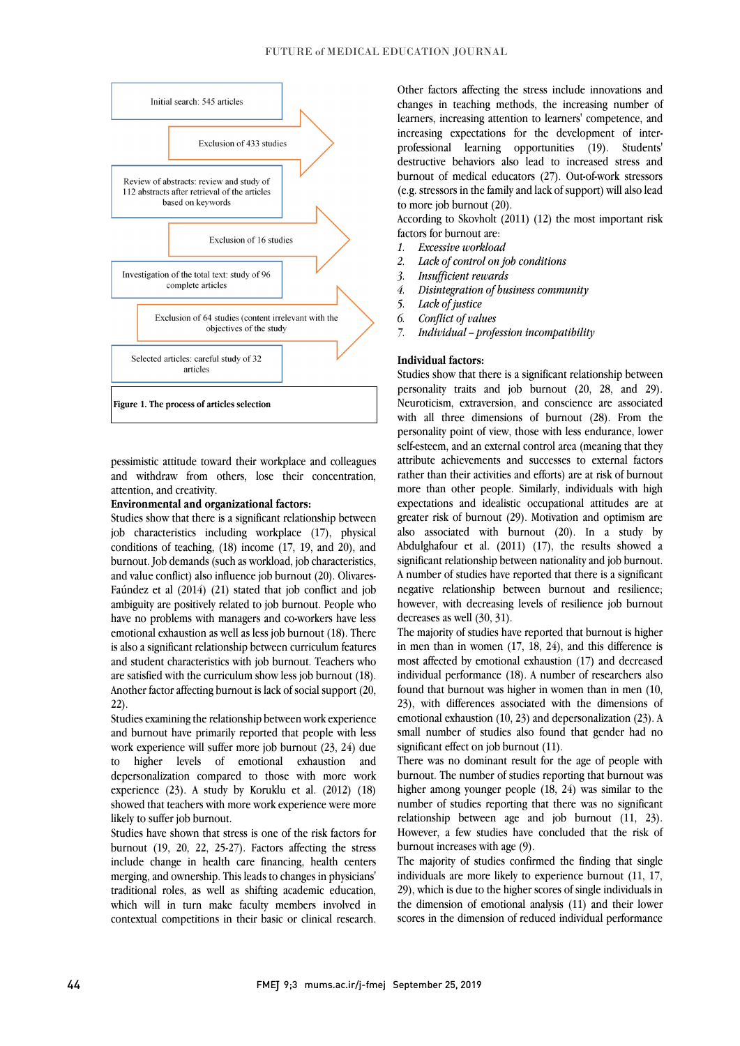

 pessimistic attitude toward their workplace and colleagues and withdraw from others, lose their concentration, attention, and creativity.

#### **Environmental and organizational factors:**

 Studies show that there is a significant relationship between job characteristics including workplace (17), physical conditions of teaching, (18) income (17, 19, and 20), and burnout. Job demands (such as workload, job characteristics, and value conflict) also influence job burnout (20). Olivaresambiguity are positively related to job burnout. People who have no problems with managers and co-workers have less emotional exhaustion as well as less job burnout (18). There is also a significant relationship between curriculum features are satisfied with the curriculum show less job burnout (18). Another factor affecting burnout is lack of social support (20, Faúndez et al (2014) (21) stated that job conflict and job and student characteristics with job burnout. Teachers who 22).

 Studies examining the relationship between work experience work experience will suffer more job burnout (23, 24) due to higher levels of emotional exhaustion and depersonalization compared to those with more work experience (23). A study by Koruklu et al. (2012) (18) showed that teachers with more work experience were more<br>likely to suffer ich burnout and burnout have primarily reported that people with less likely to suffer job burnout.

 Studies have shown that stress is one of the risk factors for burnout (19, 20, 22, 25-27). Factors affecting the stress include change in health care financing, health centers traditional roles, as well as shifting academic education, which will in turn make faculty members involved in contextual competitions in their basic or clinical research. merging, and ownership. This leads to changes in physicians' changes in teaching methods, the increasing number of learners, increasing attention to learners' competence, and increasing expectations for the development of inter- professional learning opportunities (19). Students' burnout of medical educators (27). Out-of-work stressors (e.g. stressors in the family and lack of support) will also lead Other factors affecting the stress include innovations and destructive behaviors also lead to increased stress and to more job burnout (20).

 According to Skovholt (2011) (12) the most important risk factors for burnout are:

- *1. Excessive workload*
- *2. Lack of control on job conditions*
- *3. Insufficient rewards*
- *4. Disintegration of business community*
- *5. Lack of justice*
- *6. Conflict of values*
- *7. Individual – profession incompatibility*

#### **Individual factors:**

 Studies show that there is a significant relationship between personality traits and job burnout (20, 28, and 29). Neuroticism, extraversion, and conscience are associated with all three dimensions of burnout (28). From the personality point of view, those with less endurance, lower attribute achievements and successes to external factors rather than their activities and efforts) are at risk of burnout more than other people. Similarly, individuals with high expectations and idealistic occupational attitudes are at also associated with burnout  $(20)$ . In a study by Abdulghafour et al. (2011) (17), the results showed a significant relationship between nationality and job burnout. A number of studies have reported that there is a significant however, with decreasing levels of resilience job burnout self-esteem, and an external control area (meaning that they greater risk of burnout (29). Motivation and optimism are negative relationship between burnout and resilience; decreases as well (30, 31).

 The majority of studies have reported that burnout is higher in men than in women  $(17, 18, 24)$ , and this difference is individual performance (18). A number of researchers also found that burnout was higher in women than in men (10, 23), with differences associated with the dimensions of small number of studies also found that gender had no<br>small number of studies also found that gender had no most affected by emotional exhaustion (17) and decreased emotional exhaustion (10, 23) and depersonalization (23). A significant effect on job burnout (11).

 There was no dominant result for the age of people with burnout. The number of studies reporting that burnout was higher among younger people (18, 24) was similar to the relationship between age and job burnout  $(11, 23)$ . However, a few studies have concluded that the risk of number of studies reporting that there was no significant burnout increases with age (9).

 individuals are more likely to experience burnout (11, 17, 29), which is due to the higher scores of single individuals in the dimension of emotional analysis (11) and their lower scores in the dimension of reduced individual performance The majority of studies confirmed the finding that single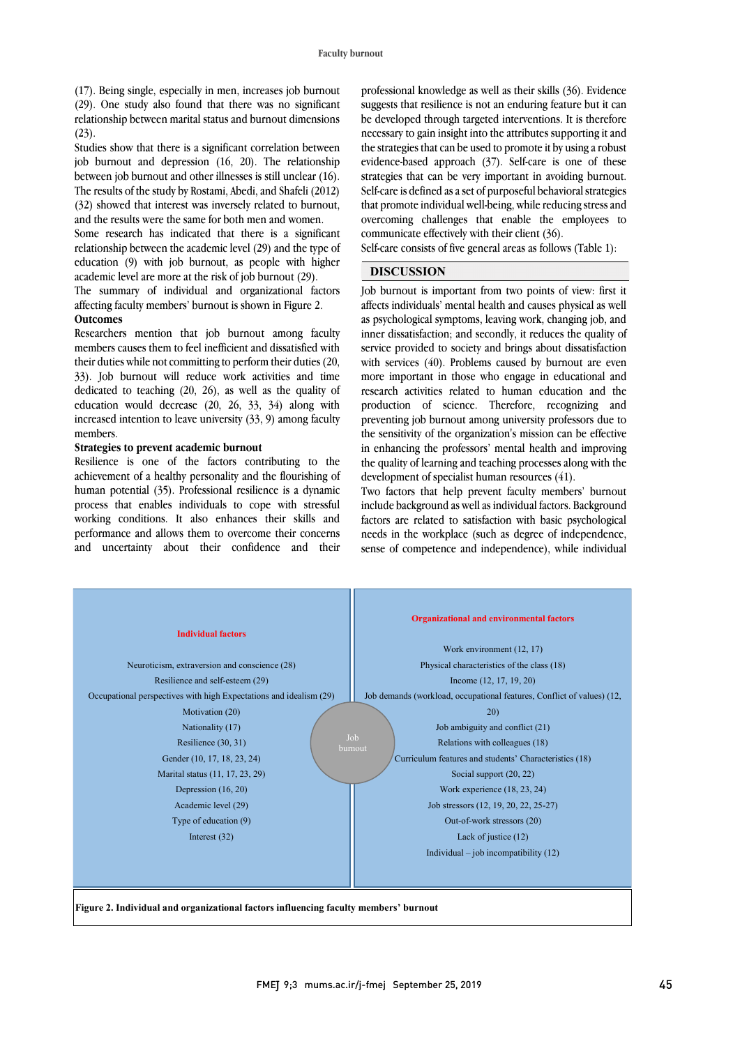(17). Being single, especially in men, increases job burnout (29). One study also found that there was no significant relationship between marital status and burnout dimensions  $(23)$ .

Studies show that there is a significant correlation between job burnout and depression (16, 20). The relationship between job burnout and other illnesses is still unclear (16). The results of the study by Rostami, Abedi, and Shafeli (2012) (32) showed that interest was inversely related to burnout, and the results were the same for both men and women.

Some research has indicated that there is a significant relationship between the academic level (29) and the type of education (9) with job burnout, as people with higher academic level are more at the risk of job burnout (29).

The summary of individual and organizational factors affecting faculty members' burnout is shown in Figure 2. **Outcomes**

Researchers mention that job burnout among faculty members causes them to feel inefficient and dissatisfied with their duties while not committing to perform their duties (20, 33). Job burnout will reduce work activities and time dedicated to teaching (20, 26), as well as the quality of education would decrease (20, 26, 33, 34) along with increased intention to leave university (33, 9) among faculty members.

#### **Strategies to prevent academic burnout**

Resilience is one of the factors contributing to the achievement of a healthy personality and the flourishing of human potential (35). Professional resilience is a dynamic process that enables individuals to cope with stressful working conditions. It also enhances their skills and performance and allows them to overcome their concerns and uncertainty about their confidence and their

 suggests that resilience is not an enduring feature but it can be developed through targeted interventions. It is therefore necessary to gain insight into the attributes supporting it and the strategies that can be used to promote it by using a robust evidence-based approach (37). Self-care is one of these Self-care is defined as a set of purposeful behavioral strategies that promote individual well-being, while reducing stress and overcoming challenges that enable the employees to professional knowledge as well as their skills (36). Evidence strategies that can be very important in avoiding burnout. communicate effectively with their client (36).

 Self-care consists of five general areas as follows (Table 1):  $\overline{a}$ 

## **DISCUSSION**

 Job burnout is important from two points of view: first it ancets individuals include itematic and causes physical as well<br>as psychological symptoms, leaving work, changing job, and inner dissatisfaction; and secondly, it reduces the quality of service provided to society and brings about dissatisfaction with services (40). Problems caused by burnout are even research activities related to human education and the production of science. Therefore, recognizing and preventing job burnout among university professors due to the sensitivity of the organization's mission can be effective In chilanchig the processors include the and and improving the quality of learning and teaching processes along with the development of specialist human resources (41). affects individuals' mental health and causes physical as well more important in those who engage in educational and in enhancing the professors' mental health and improving

 Two factors that help prevent faculty members' burnout include background as well as individual factors. Background needs in the workplace (such as degree of independence, sense of competence and independence), while individual factors are related to satisfaction with basic psychological

| <b>Individual factors</b>                                          | <b>Organizational and environmental factors</b><br>Work environment (12, 17) |  |  |
|--------------------------------------------------------------------|------------------------------------------------------------------------------|--|--|
| Neuroticism, extraversion and conscience (28)                      | Physical characteristics of the class (18)                                   |  |  |
| Resilience and self-esteem (29)                                    | Income $(12, 17, 19, 20)$                                                    |  |  |
| Occupational perspectives with high Expectations and idealism (29) | Job demands (workload, occupational features, Conflict of values) (12,       |  |  |
| Motivation (20)                                                    | 20)                                                                          |  |  |
| Nationality (17)                                                   | Job ambiguity and conflict (21)                                              |  |  |
| Job<br>Resilience (30, 31)<br>burnout                              | Relations with colleagues (18)                                               |  |  |
| Gender (10, 17, 18, 23, 24)                                        | Curriculum features and students' Characteristics (18)                       |  |  |
| Marital status (11, 17, 23, 29)                                    | Social support (20, 22)                                                      |  |  |
| Depression $(16, 20)$                                              | Work experience $(18, 23, 24)$                                               |  |  |
| Academic level (29)                                                | Job stressors (12, 19, 20, 22, 25-27)                                        |  |  |
| Type of education (9)                                              | Out-of-work stressors (20)                                                   |  |  |
| Interest $(32)$                                                    | Lack of justice (12)                                                         |  |  |
|                                                                    | Individual $-$ job incompatibility $(12)$                                    |  |  |
|                                                                    |                                                                              |  |  |

**Figure 2. Individual and organizational factors influencing faculty members' burnout**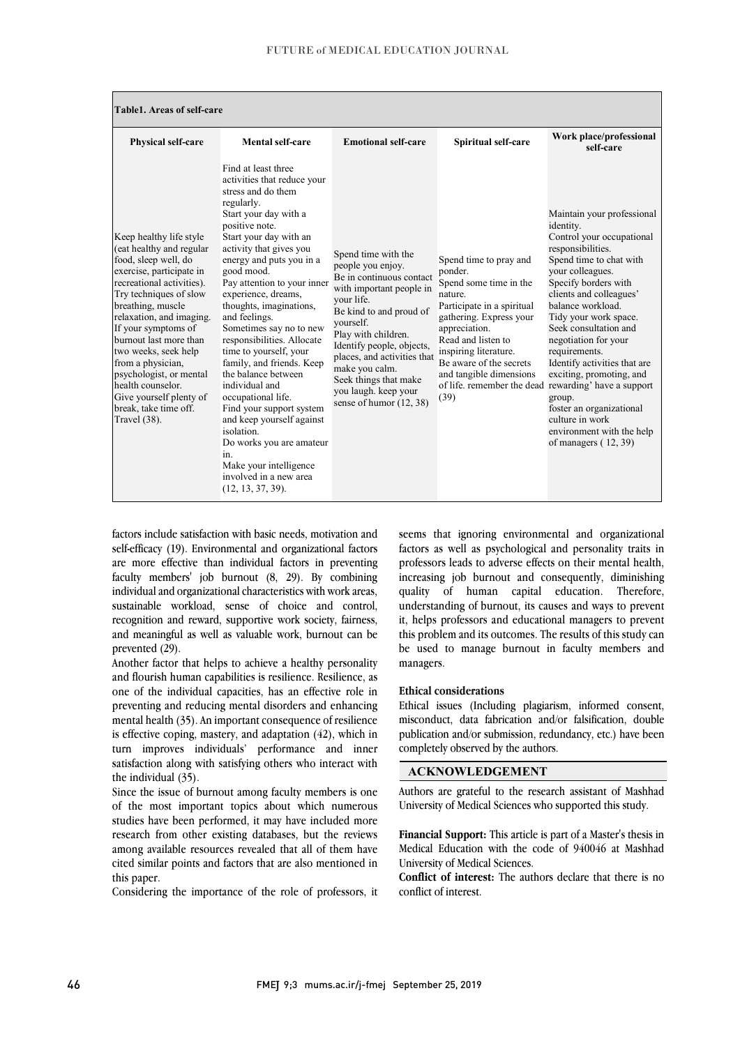| Table1. Areas of self-care                                                                                                                                                                                                                                                                                                                                                                                                        |                                                                                                                                                                                                                                                                                                                                                                                                                                                                                                                                                                                                                                                                                                         |                                                                                                                                                                                                                                                                                                                                           |                                                                                                                                                                                                                                                               |                                                                                                                                                                                                                                                                                                                                                                                                                                                                                                                                                 |
|-----------------------------------------------------------------------------------------------------------------------------------------------------------------------------------------------------------------------------------------------------------------------------------------------------------------------------------------------------------------------------------------------------------------------------------|---------------------------------------------------------------------------------------------------------------------------------------------------------------------------------------------------------------------------------------------------------------------------------------------------------------------------------------------------------------------------------------------------------------------------------------------------------------------------------------------------------------------------------------------------------------------------------------------------------------------------------------------------------------------------------------------------------|-------------------------------------------------------------------------------------------------------------------------------------------------------------------------------------------------------------------------------------------------------------------------------------------------------------------------------------------|---------------------------------------------------------------------------------------------------------------------------------------------------------------------------------------------------------------------------------------------------------------|-------------------------------------------------------------------------------------------------------------------------------------------------------------------------------------------------------------------------------------------------------------------------------------------------------------------------------------------------------------------------------------------------------------------------------------------------------------------------------------------------------------------------------------------------|
| Physical self-care                                                                                                                                                                                                                                                                                                                                                                                                                | Mental self-care                                                                                                                                                                                                                                                                                                                                                                                                                                                                                                                                                                                                                                                                                        | <b>Emotional self-care</b>                                                                                                                                                                                                                                                                                                                | <b>Spiritual self-care</b>                                                                                                                                                                                                                                    | Work place/professional<br>self-care                                                                                                                                                                                                                                                                                                                                                                                                                                                                                                            |
| Keep healthy life style<br>(eat healthy and regular<br>food, sleep well, do<br>exercise, participate in<br>recreational activities).<br>Try techniques of slow<br>breathing, muscle<br>relaxation, and imaging.<br>If your symptoms of<br>burnout last more than<br>two weeks, seek help<br>from a physician,<br>psychologist, or mental<br>health counselor.<br>Give yourself plenty of<br>break, take time off.<br>Travel (38). | Find at least three<br>activities that reduce your<br>stress and do them<br>regularly.<br>Start your day with a<br>positive note.<br>Start your day with an<br>activity that gives you<br>energy and puts you in a<br>good mood.<br>Pay attention to your inner<br>experience, dreams.<br>thoughts, imaginations,<br>and feelings.<br>Sometimes say no to new<br>responsibilities. Allocate<br>time to yourself, your<br>family, and friends. Keep<br>the balance between<br>individual and<br>occupational life.<br>Find your support system<br>and keep yourself against<br>isolation.<br>Do works you are amateur<br>in.<br>Make your intelligence<br>involved in a new area<br>$(12, 13, 37, 39)$ . | Spend time with the<br>people you enjoy.<br>Be in continuous contact<br>with important people in<br>your life.<br>Be kind to and proud of<br>yourself.<br>Play with children.<br>Identify people, objects,<br>places, and activities that<br>make you calm.<br>Seek things that make<br>you laugh. keep your<br>sense of humor $(12, 38)$ | Spend time to pray and<br>ponder.<br>Spend some time in the<br>nature.<br>Participate in a spiritual<br>gathering. Express your<br>appreciation.<br>Read and listen to<br>inspiring literature.<br>Be aware of the secrets<br>and tangible dimensions<br>(39) | Maintain your professional<br>identity.<br>Control your occupational<br>responsibilities.<br>Spend time to chat with<br>your colleagues.<br>Specify borders with<br>clients and colleagues'<br>balance workload.<br>Tidy your work space.<br>Seek consultation and<br>negotiation for your<br>requirements.<br>Identify activities that are<br>exciting, promoting, and<br>of life, remember the dead rewarding' have a support<br>group.<br>foster an organizational<br>culture in work<br>environment with the help<br>of managers $(12, 39)$ |

factors include satisfaction with basic needs, motivation and self-efficacy (19). Environmental and organizational factors are more effective than individual factors in preventing faculty members' job burnout (8, 29). By combining individual and organizational characteristics with work areas, sustainable workload, sense of choice and control, recognition and reward, supportive work society, fairness, and meaningful as well as valuable work, burnout can be prevented (29).

Another factor that helps to achieve a healthy personality and flourish human capabilities is resilience. Resilience, as one of the individual capacities, has an effective role in preventing and reducing mental disorders and enhancing mental health (35). An important consequence of resilience is effective coping, mastery, and adaptation (42), which in turn improves individuals' performance and inner satisfaction along with satisfying others who interact with the individual (35).

Since the issue of burnout among faculty members is one of the most important topics about which numerous studies have been performed, it may have included more research from other existing databases, but the reviews among available resources revealed that all of them have cited similar points and factors that are also mentioned in this paper.

Considering the importance of the role of professors, it

seems that ignoring environmental and organizational factors as well as psychological and personality traits in professors leads to adverse effects on their mental health, increasing job burnout and consequently, diminishing quality of human capital education. Therefore, understanding of burnout, its causes and ways to prevent it, helps professors and educational managers to prevent this problem and its outcomes. The results of this study can be used to manage burnout in faculty members and managers.

#### **Ethical considerations**

Ethical issues (Including plagiarism, informed consent, misconduct, data fabrication and/or falsification, double publication and/or submission, redundancy, etc.) have been completely observed by the authors.

### **ACKNOWLEDGEMENT**

Authors are grateful to the research assistant of Mashhad University of Medical Sciences who supported this study.

**Financial Support:** This article is part of a Master's thesis in Medical Education with the code of 940046 at Mashhad University of Medical Sciences.

**Conflict of interest:** The authors declare that there is no conflict of interest.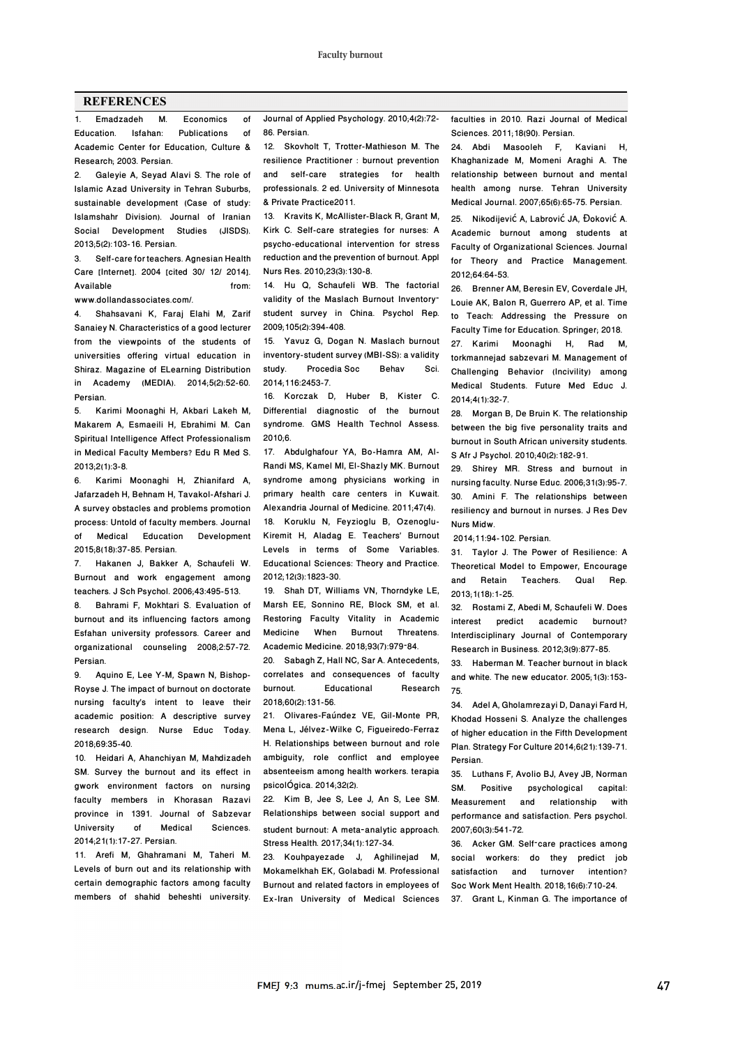#### **REFERENCES**

1. Emadzadeh M. Economics of Education. Isfahan: Publications of Academic Center for Education, Culture & Research; 2003. Persian.

2. Galeyie A, Seyad Alavi S. The role of Islamic Azad University in Tehran Suburbs, sustainable development (Case of study: Islamshahr Division). Journal of Iranian Social Development Studies (JISDS). 2013;5(2):103-16. Persian.

3. Self-care for teachers. Agnesian Health Care [Internet]. 2004 [cited 30/ 12/ 2014]. Available from:

www.dollandassociates.com/

4. Shahsavani K, Faraj Elahi M, Zarif Sanaiey N. Characteristics of a good lecturer from the viewpoints of the students of universities offering virtual education in Shiraz. Magazine of ELearning Distribution in Academy (MEDIA). 2014;5(2):52-60. Persian.

5. Karimi Moonaghi H, Akbari Lakeh M, Makarem A, Esmaeili H, Ebrahimi M. Can Spiritual Intelligence Affect Professionalism in Medical Faculty Members? Edu R Med S. 2013;2(1):3-8.

6. Karimi Moonaghi H, Zhianifard A, Jafarzadeh H, Behnam H, Tavakol-Afshari J. A survey obstacles and problems promotion process: Untold of faculty members. Journal of Medical Education Development 2015;8(18):37-85. Persian.

7. Hakanen J, Bakker A, Schaufeli W. Burnout and work engagement among teachers. J Sch Psychol. 2006;43:495-513.

8. Bahrami F, Mokhtari S. Evaluation of burnout and its influencing factors among Esfahan university professors. Career and organizational counseling 2008;2:57-72. Persian.

9. Aquino E, Lee Y-M, Spawn N, Bishop-Royse J. The impact of burnout on doctorate nursing faculty's intent to leave their academic position: A descriptive survey research design. Nurse Educ Today. 2018;69:35-40.

10. Heidari A, Ahanchiyan M, Mahdizadeh SM. Survey the burnout and its effect in gwork environment factors on nursing faculty members in Khorasan Razavi province in 1391. Journal of Sabzevar University of Medical Sciences. 2014;21(1):17-27. Persian.

11. Arefi M, Ghahramani M, Taheri M. Levels of burn out and its relationship with certain demographic factors among faculty members of shahid beheshti university. Journal of Applied Psychology. 2010;4(2):72- 86. Persian.

12. Skovholt T, Trotter-Mathieson M. The resilience Practitioner : burnout prevention and self-care strategies for health professionals. 2 ed. University of Minnesota & Private Practice2011.

13. Kravits K, McAllister-Black R, Grant M, Kirk C. Self-care strategies for nurses: A psycho-educational intervention for stress reduction and the prevention of burnout. Appl Nurs Res. 2010;23(3):130-8.

14. Hu Q, Schaufeli WB. The factorial validity of the Maslach Burnout Inventory– student survey in China. Psychol Rep. 2009;105(2):394-408.

15. Yavuz G, Dogan N. Maslach burnout inventory-student survey (MBI-SS): a validity Procedia Soc Behav Sci. 2014;116:2453-7.

16. Korczak D, Huber B, Kister C. Differential diagnostic of the burnout syndrome. GMS Health Technol Assess. 2010;6.

17. Abdulghafour YA, Bo-Hamra AM, Al-Randi MS, Kamel MI, El-Shazly MK. Burnout syndrome among physicians working in primary health care centers in Kuwait. Alexandria Journal of Medicine. 2011;47(4). 18. Koruklu N, Feyzioglu B, Ozenoglu-Kiremit H, Aladag E. Teachers' Burnout Levels in terms of Some Variables. Educational Sciences: Theory and Practice. 2012;12(3):1823-30.

19. Shah DT, Williams VN, Thorndyke LE, Marsh EE, Sonnino RE, Block SM, et al. Restoring Faculty Vitality in Academic Medicine When Burnout Threatens. Academic Medicine. 2018;93(7):979–84.

20. Sabagh Z, Hall NC, Sar A. Antecedents, correlates and consequences of faculty burnout. Educational Research 2018;60(2):131-56.

21. Olivares-Faúndez VE, Gil-Monte PR, Mena L, Jélvez-Wilke C, Figueiredo-Ferraz H. Relationships between burnout and role ambiguity, role conflict and employee absenteeism among health workers. terapia psicolÓgica. 2014;32(2).

22. Kim B, Jee S, Lee J, An S, Lee SM. Relationships between social support and student burnout: A meta-analytic approach. Stress Health. 2017;34(1):127-34.

23. Kouhpayezade J, Aghilinejad M, Mokamelkhah EK, Golabadi M. Professional Burnout and related factors in employees of Ex-Iran University of Medical Sciences faculties in 2010. Razi Journal of Medical Sciences. 2011;18(90). Persian.

24. Abdi Masooleh F, Kaviani H, Khaghanizade M, Momeni Araghi A. The relationship between burnout and mental health among nurse. Tehran University Medical Journal. 2007;65(6):65-75. Persian.

25. Nikodijević A, Labrović JA, Đoković A. Academic burnout among students at Faculty of Organizational Sciences. Journal for Theory and Practice Management. 2012;64:64-53.

26. Brenner AM, Beresin EV, Coverdale JH, Louie AK, Balon R, Guerrero AP, et al. Time to Teach: Addressing the Pressure on Faculty Time for Education. Springer; 2018.

27. Karimi Moonaghi H, Rad M, torkmannejad sabzevari M. Management of Challenging Behavior (Incivility) among Medical Students. Future Med Educ J. 2014;4(1):32-7.

28. Morgan B, De Bruin K. The relationship between the big five personality traits and burnout in South African university students. S Afr J Psychol. 2010;40(2):182-91.

29. Shirey MR. Stress and burnout in nursing faculty. Nurse Educ. 2006;31(3):95-7. 30. Amini F. The relationships between resiliency and burnout in nurses. J Res Dev Nurs Midw.

2014;11:94-102. Persian.

31. Taylor J. The Power of Resilience: A Theoretical Model to Empower, Encourage and Retain Teachers. Qual Rep. 2013;1(18):1-25.

32. Rostami Z, Abedi M, Schaufeli W. Does interest predict academic burnout? Interdisciplinary Journal of Contemporary Research in Business. 2012;3(9):877-85.

33. Haberman M. Teacher burnout in black and white. The new educator. 2005;1(3):153- 75.

34. Adel A, Gholamrezayi D, Danayi Fard H, Khodad Hosseni S. Analyze the challenges of higher education in the Fifth Development Plan. Strategy For Culture 2014;6(21):139-71. Persian.

35. Luthans F, Avolio BJ, Avey JB, Norman SM. Positive psychological capital: Measurement and relationship with performance and satisfaction. Pers psychol. 2007;60(3):541-72.

36. Acker GM. Self–care practices among social workers: do they predict job satisfaction and turnover intention? Soc Work Ment Health. 2018;16(6):710-24. 37. Grant L, Kinman G. The importance of